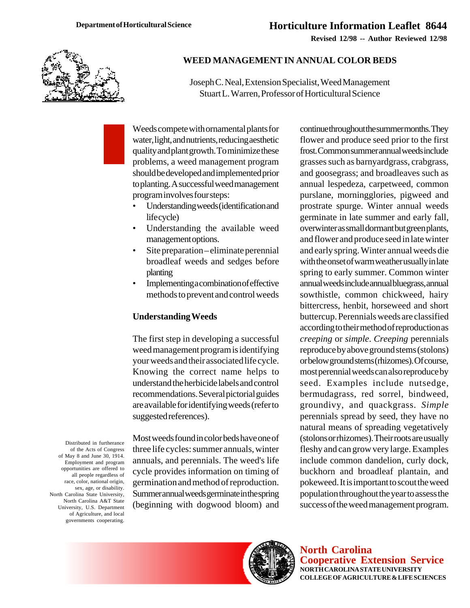**Revised 12/98 -- Author Reviewed 12/98**



# **WEED MANAGEMENT IN ANNUAL COLOR BEDS**

Joseph C. Neal, Extension Specialist, Weed Management Stuart L. Warren, Professor of Horticultural Science

Weeds compete with ornamental plants for water, light, and nutrients, reducing aesthetic quality and plant growth. To minimize these problems, a weed management program should be developed and implemented prior to planting. A successful weed management program involves four steps:

- Understanding weeds (identification and life cycle)
- Understanding the available weed management options.
- Site preparation eliminate perennial broadleaf weeds and sedges before planting
- Implementing a combination of effective methods to prevent and control weeds

#### **Understanding Weeds**

The first step in developing a successful weed management program is identifying your weeds and their associated life cycle. Knowing the correct name helps to understand the herbicide labels and control recommendations. Several pictorial guides are available for identifying weeds (refer to suggested references).

Most weeds found in color beds have one of three life cycles: summer annuals, winter annuals, and perennials. The weed's life cycle provides information on timing of germination and method of reproduction. Summer annual weeds germinate in the spring (beginning with dogwood bloom) and

continue throughout the summer months. They flower and produce seed prior to the first frost. Common summer annual weeds include grasses such as barnyardgrass, crabgrass, and goosegrass; and broadleaves such as annual lespedeza, carpetweed, common purslane, morningglories, pigweed and prostrate spurge. Winter annual weeds germinate in late summer and early fall, overwinter as small dormant but green plants, and flower and produce seed in late winter and early spring. Winter annual weeds die with the onset of warm weather usually in late spring to early summer. Common winter annual weeds include annual bluegrass, annual sowthistle, common chickweed, hairy bittercress, henbit, horseweed and short buttercup. Perennials weeds are classified according to their method of reproduction as *creeping* or *simple*. *Creeping* perennials reproduce by above ground stems (stolons) or below ground stems (rhizomes). Of course, most perennial weeds can also reproduce by seed. Examples include nutsedge, bermudagrass, red sorrel, bindweed, groundivy, and quackgrass. *Simple* perennials spread by seed, they have no natural means of spreading vegetatively (stolons or rhizomes). Their roots are usually fleshy and can grow very large. Examples include common dandelion, curly dock, buckhorn and broadleaf plantain, and pokeweed. It is important to scout the weed population throughout the year to assess the success of the weed management program.



**North Carolina Cooperative Extension Service NORTH CAROLINA STATE UNIVERSITY COLLEGE OF AGRICULTURE & LIFE SCIENCES**

Distributed in furtherance of the Acts of Congress of May 8 and June 30, 1914. Employment and program opportunities are offered to all people regardless of race, color, national origin, sex, age, or disability. North Carolina State University, North Carolina A&T State University, U.S. Department of Agriculture, and local governments cooperating.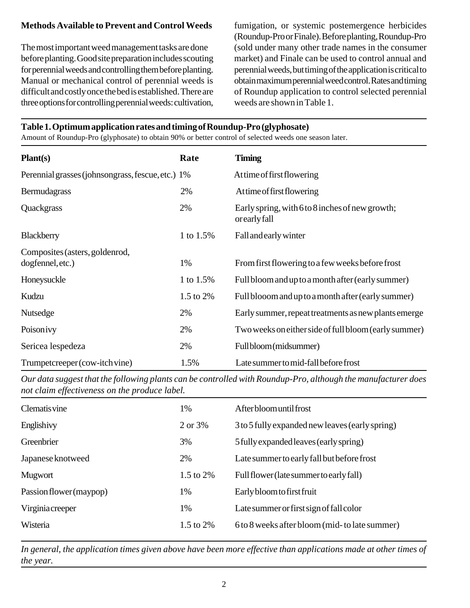# **Methods Available to Prevent and Control Weeds**

The most important weed management tasks are done before planting. Good site preparation includes scouting for perennial weeds and controlling them before planting. Manual or mechanical control of perennial weeds is difficult and costly once the bed is established. There are three options for controlling perennial weeds: cultivation,

fumigation, or systemic postemergence herbicides (Roundup-Pro or Finale). Before planting, Roundup-Pro (sold under many other trade names in the consumer market) and Finale can be used to control annual and perennial weeds, but timing of the application is critical to obtain maximum perennial weed control. Rates and timing of Roundup application to control selected perennial weeds are shown in Table 1.

# **Table 1. Optimum application rates and timing of Roundup-Pro (glyphosate)**

Amount of Roundup-Pro (glyphosate) to obtain 90% or better control of selected weeds one season later.

| Plant(s)                                          | Rate      | <b>Timing</b>                                                    |
|---------------------------------------------------|-----------|------------------------------------------------------------------|
| Perennial grasses (johnsongrass, fescue, etc.) 1% |           | Attime of first flowering                                        |
| Bermudagrass                                      | 2%        | At time of first flowering                                       |
| Quackgrass                                        | 2%        | Early spring, with 6 to 8 inches of new growth;<br>or early fall |
| Blackberry                                        | 1 to 1.5% | Fall and early winter                                            |
| Composites (asters, goldenrod,                    |           |                                                                  |
| dogfennel, etc.)                                  | 1%        | From first flowering to a few weeks before frost                 |
| Honeysuckle                                       | 1 to 1.5% | Full bloom and up to a month after (early summer)                |
| Kudzu                                             | 1.5 to 2% | Full blooom and up to a month after (early summer)               |
| Nutsedge                                          | 2%        | Early summer, repeat treatments as new plants emerge             |
| Poisonivy                                         | 2%        | Two weeks on either side of full bloom (early summer)            |
| Sericea lespedeza                                 | 2%        | Full bloom (midsummer)                                           |
| Trumpetcreeper (cow-itch vine)                    | 1.5%      | Late summer to mid-fall before frost                             |

*Our data suggest that the following plants can be controlled with Roundup-Pro, although the manufacturer does not claim effectiveness on the produce label.*

| <b>Clematisvine</b>     | 1%           | After bloom until frost                         |
|-------------------------|--------------|-------------------------------------------------|
| Englishivy              | 2 or 3%      | 3 to 5 fully expanded new leaves (early spring) |
| Greenbrier              | 3%           | 5 fully expanded leaves (early spring)          |
| Japanese knotweed       | 2%           | Late summer to early fall but before frost      |
| Mugwort                 | 1.5 to $2\%$ | Full flower (late summer to early fall)         |
| Passion flower (maypop) | 1%           | Early bloom to first fruit                      |
| Virginiacreeper         | 1%           | Late summer or first sign of fall color         |
| Wisteria                | 1.5 to 2%    | 6 to 8 weeks after bloom (mid- to late summer)  |

*In general, the application times given above have been more effective than applications made at other times of the year.*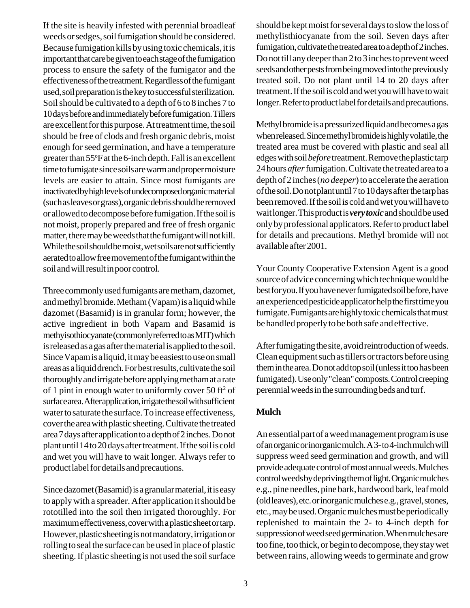If the site is heavily infested with perennial broadleaf weeds or sedges, soil fumigation should be considered. Because fumigation kills by using toxic chemicals, it is important that care be given to each stage of the fumigation process to ensure the safety of the fumigator and the effectiveness of the treatment. Regardless of the fumigant used, soil preparation is the key to successful sterilization. Soil should be cultivated to a depth of 6 to 8 inches 7 to 10 days before and immediately before fumigation. Tillers are excellent for this purpose. At treatment time, the soil should be free of clods and fresh organic debris, moist enough for seed germination, and have a temperature greater than 55°F at the 6-inch depth. Fall is an excellent time to fumigate since soils are warm and proper moisture levels are easier to attain. Since most fumigants are inactivated by high levels of undecomposed organic material (such as leaves or grass), organic debris should be removed or allowed to decompose before fumigation. If the soil is not moist, properly prepared and free of fresh organic matter, there may be weeds that the fumigant will not kill. While the soil should be moist, wet soils are not sufficiently aerated to allow free movement of the fumigant within the soil and will result in poor control.

Three commonly used fumigants are metham, dazomet, and methyl bromide. Metham (Vapam) is a liquid while dazomet (Basamid) is in granular form; however, the active ingredient in both Vapam and Basamid is methyisothiocyanate (commonly referred to as MIT) which is released as a gas after the material is applied to the soil. Since Vapam is a liquid, it may be easiest to use on small areas as a liquid drench. For best results, cultivate the soil thoroughly and irrigate before applying metham at a rate of 1 pint in enough water to uniformly cover 50 ft<sup>2</sup> of surface area. After application, irrigate the soil with sufficient water to saturate the surface. To increase effectiveness, cover the area with plastic sheeting. Cultivate the treated area 7 days after application to a depth of 2 inches. Do not plant until 14 to 20 days after treatment. If the soil is cold and wet you will have to wait longer. Always refer to product label for details and precautions.

Since dazomet (Basamid) is a granular material, it is easy to apply with a spreader. After application it should be rototilled into the soil then irrigated thoroughly. For maximum effectiveness, cover with a plastic sheet or tarp. However, plastic sheeting is not mandatory, irrigation or rolling to seal the surface can be used in place of plastic sheeting. If plastic sheeting is not used the soil surface

should be kept moist for several days to slow the loss of methylisthiocyanate from the soil. Seven days after fumigation, cultivate the treated area to a depth of 2 inches. Do not till any deeper than 2 to 3 inches to prevent weed seeds and other pests from being moved into the previously treated soil. Do not plant until 14 to 20 days after treatment. If the soil is cold and wet you will have to wait longer. Refer to product label for details and precautions.

Methyl bromide is a pressurized liquid and becomes a gas when released. Since methyl bromide is highly volatile, the treated area must be covered with plastic and seal all edges with soil *before* treatment. Remove the plastic tarp 24 hours *after* fumigation. Cultivate the treated area to a depth of 2 inches (*no deeper*) to accelerate the aeration of the soil. Do not plant until 7 to 10 days after the tarp has been removed. If the soil is cold and wet you will have to wait longer. This product is *very toxic* and should be used only by professional applicators. Refer to product label for details and precautions. Methyl bromide will not available after 2001.

Your County Cooperative Extension Agent is a good source of advice concerning which technique would be best for you. If you have never fumigated soil before, have an experienced pesticide applicator help the first time you fumigate. Fumigants are highly toxic chemicals that must be handled properly to be both safe and effective.

After fumigating the site, avoid reintroduction of weeds. Clean equipment such as tillers or tractors before using them in the area. Do not add top soil (unless it too has been fumigated). Use only "clean" composts. Control creeping perennial weeds in the surrounding beds and turf.

# **Mulch**

An essential part of a weed management program is use of an organic or inorganic mulch. A 3- to 4-inch mulch will suppress weed seed germination and growth, and will provide adequate control of most annual weeds. Mulches control weeds by depriving them of light. Organic mulches e.g., pine needles, pine bark, hardwood bark, leaf mold (old leaves), etc. or inorganic mulches e.g., gravel, stones, etc., may be used. Organic mulches must be periodically replenished to maintain the 2- to 4-inch depth for suppression of weed seed germination. When mulches are too fine, too thick, or begin to decompose, they stay wet between rains, allowing weeds to germinate and grow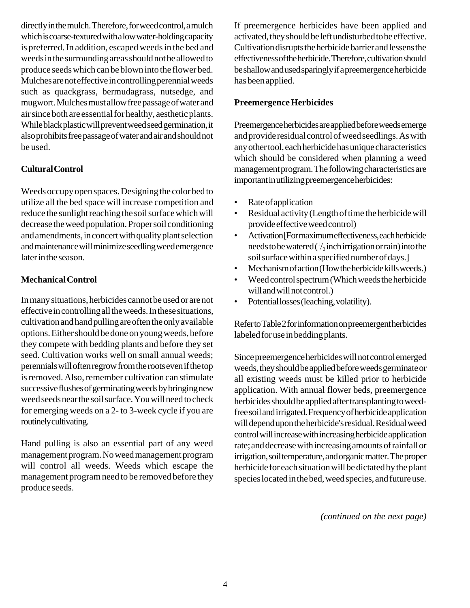directly in the mulch. Therefore, for weed control, a mulch which is coarse-textured with a low water-holding capacity is preferred. In addition, escaped weeds in the bed and weeds in the surrounding areas should not be allowed to produce seeds which can be blown into the flower bed. Mulches are not effective in controlling perennial weeds such as quackgrass, bermudagrass, nutsedge, and mugwort. Mulches must allow free passage of water and air since both are essential for healthy, aesthetic plants. While black plastic will prevent weed seed germination, it also prohibits free passage of water and air and should not be used.

# **Cultural Control**

Weeds occupy open spaces. Designing the color bed to utilize all the bed space will increase competition and reduce the sunlight reaching the soil surface which will decrease the weed population. Proper soil conditioning and amendments, in concert with quality plant selection and maintenance will minimize seedling weed emergence later in the season.

#### **Mechanical Control**

In many situations, herbicides cannot be used or are not effective in controlling all the weeds. In these situations, cultivation and hand pulling are often the only available options. Either should be done on young weeds, before they compete with bedding plants and before they set seed. Cultivation works well on small annual weeds; perennials will often regrow from the roots even if the top is removed. Also, remember cultivation can stimulate successive flushes of germinating weeds by bringing new weed seeds near the soil surface. You will need to check for emerging weeds on a 2- to 3-week cycle if you are routinely cultivating.

Hand pulling is also an essential part of any weed management program. No weed management program will control all weeds. Weeds which escape the management program need to be removed before they produce seeds.

If preemergence herbicides have been applied and activated, they should be left undisturbed to be effective. Cultivation disrupts the herbicide barrier and lessens the effectiveness of the herbicide. Therefore, cultivation should be shallow and used sparingly if a preemergence herbicide has been applied.

#### **Preemergence Herbicides**

Preemergence herbicides are applied before weeds emerge and provide residual control of weed seedlings. As with any other tool, each herbicide has unique characteristics which should be considered when planning a weed management program. The following characteristics are important in utilizing preemergence herbicides:

- Rate of application
- Residual activity (Length of time the herbicide will provide effective weed control)
- Activation [For maximum effectiveness, each herbicide needs to be watered ( $\frac{1}{2}$  inch irrigation or rain) into the soil surface within a specified number of days.]
- Mechanism of action (How the herbicide kills weeds.)
- Weed control spectrum (Which weeds the herbicide will and will not control.)
- Potential losses (leaching, volatility).

Refer to Table 2 for information on preemergent herbicides labeled for use in bedding plants.

Since preemergence herbicides will not control emerged weeds, they should be applied before weeds germinate or all existing weeds must be killed prior to herbicide application. With annual flower beds, preemergence herbicides should be applied after transplanting to weedfree soil and irrigated. Frequency of herbicide application will depend upon the herbicide's residual. Residual weed control will increase with increasing herbicide application rate; and decrease with increasing amounts of rainfall or irrigation, soil temperature, and organic matter. The proper herbicide for each situation will be dictated by the plant species located in the bed, weed species, and future use.

*(continued on the next page)*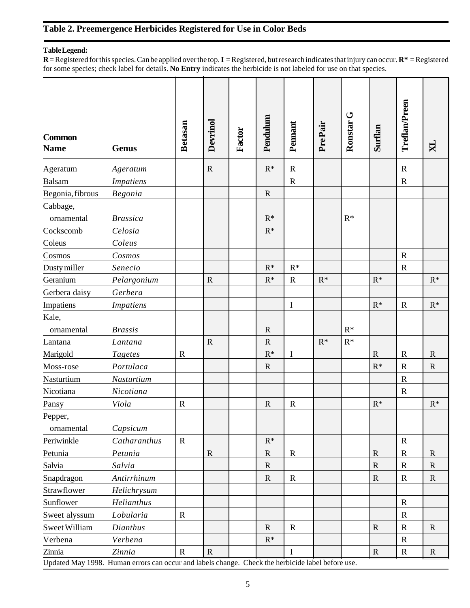# **Table 2. Preemergence Herbicides Registered for Use in Color Beds**

#### **Table Legend:**

**R** = Registered for this species. Can be applied over the top. **I** = Registered, but research indicates that injury can occur. **R\*** = Registered for some species; check label for details. **No Entry** indicates the herbicide is not labeled for use on that species.

| <b>Common</b><br><b>Name</b> | <b>Genus</b>                                                                                                | <b>Betasan</b> | Devrinol    | Factor | Pendulum       | Pennant     | PrePair | Ronstar <sub>G</sub> | Surflan        | Treflan/Preen | $\mathbf{N}$ |
|------------------------------|-------------------------------------------------------------------------------------------------------------|----------------|-------------|--------|----------------|-------------|---------|----------------------|----------------|---------------|--------------|
| Ageratum                     | Ageratum                                                                                                    |                | $\mathbf R$ |        | $R^*$          | $\mathbf R$ |         |                      |                | $\mathbf R$   |              |
| <b>Balsam</b>                | <b>Impatiens</b>                                                                                            |                |             |        |                | $\mathbf R$ |         |                      |                | $\mathbf R$   |              |
| Begonia, fibrous             | Begonia                                                                                                     |                |             |        | ${\bf R}$      |             |         |                      |                |               |              |
| Cabbage,<br>ornamental       | <b>Brassica</b>                                                                                             |                |             |        | $R^*$          |             |         | $\mathsf{R}^*$       |                |               |              |
| Cockscomb                    | Celosia                                                                                                     |                |             |        | $R^*$          |             |         |                      |                |               |              |
| Coleus                       | Coleus                                                                                                      |                |             |        |                |             |         |                      |                |               |              |
| Cosmos                       | Cosmos                                                                                                      |                |             |        |                |             |         |                      |                | $\mathbf R$   |              |
| Dusty miller                 | Senecio                                                                                                     |                |             |        | $R^*$          | $R^*$       |         |                      |                | $\mathbf R$   |              |
| Geranium                     | Pelargonium                                                                                                 |                | $\mathbf R$ |        | $R^*$          | $\mathbf R$ | $R^*$   |                      | $R^*$          |               | $R^*$        |
| Gerbera daisy                | Gerbera                                                                                                     |                |             |        |                |             |         |                      |                |               |              |
| Impatiens                    | <b>Impatiens</b>                                                                                            |                |             |        |                | $\bf I$     |         |                      | $R^*$          | $\mathbb{R}$  | $R^*$        |
| Kale,<br>ornamental          | <b>Brassis</b>                                                                                              |                |             |        | $\mathbf R$    |             |         | $\mathsf{R}^*$       |                |               |              |
| Lantana                      | Lantana                                                                                                     |                | $\mathbf R$ |        | $\mathbf R$    |             | $R^*$   | $R^*$                |                |               |              |
| Marigold                     | <b>Tagetes</b>                                                                                              | $\mathbf R$    |             |        | $\mathsf{R}^*$ | $\mathbf I$ |         |                      | $\mathbf R$    | $\mathbb{R}$  | ${\bf R}$    |
| Moss-rose                    | Portulaca                                                                                                   |                |             |        | $\mathbf R$    |             |         |                      | $R^*$          | $\mathbf R$   | ${\bf R}$    |
| Nasturtium                   | Nasturtium                                                                                                  |                |             |        |                |             |         |                      |                | $\mathbb{R}$  |              |
| Nicotiana                    | Nicotiana                                                                                                   |                |             |        |                |             |         |                      |                | $\mathbf R$   |              |
| Pansy                        | Viola                                                                                                       | $\mathbf R$    |             |        | ${\bf R}$      | ${\bf R}$   |         |                      | $\mathbf{R}^*$ |               | $R^*$        |
| Pepper,<br>ornamental        | Capsicum                                                                                                    |                |             |        |                |             |         |                      |                |               |              |
| Periwinkle                   | Catharanthus                                                                                                | ${\bf R}$      |             |        | $R^*$          |             |         |                      |                | $\mathbf R$   |              |
| Petunia                      | Petunia                                                                                                     |                | $\mathbf R$ |        | ${\bf R}$      | $\mathbf R$ |         |                      | ${\bf R}$      | $\mathbf R$   | ${\bf R}$    |
| Salvia                       | Salvia                                                                                                      |                |             |        | $\mathbf R$    |             |         |                      | $\mathbf R$    | $\mathbf R$   | $\mathbf R$  |
| Snapdragon                   | Antirrhinum                                                                                                 |                |             |        | $\mathbf R$    | $\mathbf R$ |         |                      | $\mathbb{R}$   | $\mathbf R$   | $\mathbf R$  |
| Strawflower                  | Helichrysum                                                                                                 |                |             |        |                |             |         |                      |                |               |              |
| Sunflower                    | Helianthus                                                                                                  |                |             |        |                |             |         |                      |                | $\mathbf R$   |              |
| Sweet alyssum                | Lobularia                                                                                                   | ${\bf R}$      |             |        |                |             |         |                      |                | $\mathbf R$   |              |
| Sweet William                | Dianthus                                                                                                    |                |             |        | $\mathbf R$    | $\mathbf R$ |         |                      | $\mathbf R$    | $\mathbf R$   | ${\bf R}$    |
| Verbena                      | Verbena                                                                                                     |                |             |        | $R^*$          |             |         |                      |                | $\mathbf R$   |              |
| Zinnia                       | Zinnia<br>Updated May 1998. Human errors can occur and labels change. Check the herbicide label before use. | $\mathbf R$    | $\mathbf R$ |        |                | L           |         |                      | $\mathbf R$    | $\mathbf R$   | $\mathbf R$  |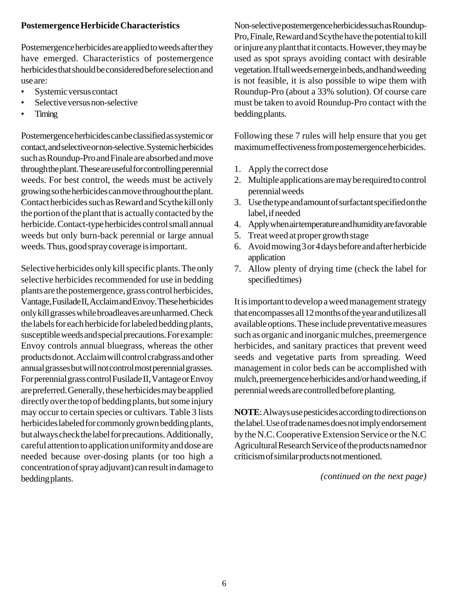# **Postemergence Herbicide Characteristics**

Postemergence herbicides are applied to weeds after they have emerged. Characteristics of postemergence herbicides that should be considered before selection and use are:

- Systemic versus contact
- Selective versus non-selective
- Timing

Postemergence herbicides can be classified as systemic or contact, and selective or non-selective. Systemic herbicides such as Roundup-Pro and Finale are absorbed and move through the plant. These are useful for controlling perennial weeds. For best control, the weeds must be actively growing so the herbicides can move throughout the plant. Contact herbicides such as Reward and Scythe kill only the portion of the plant that is actually contacted by the herbicide. Contact-type herbicides control small annual weeds but only burn-back perennial or large annual weeds. Thus, good spray coverage is important.

Selective herbicides only kill specific plants. The only selective herbicides recommended for use in bedding plants are the postemergence, grass control herbicides, Vantage, Fusilade II, Acclaim and Envoy. These herbicides only kill grasses while broadleaves are unharmed. Check the labels for each herbicide for labeled bedding plants, susceptible weeds and special precautions. For example: Envoy controls annual bluegrass, whereas the other products do not. Acclaim will control crabgrass and other annual grasses but will not control most perennial grasses. For perennial grass control Fusilade II, Vantage or Envoy are preferred. Generally, these herbicides may be applied directly over the top of bedding plants, but some injury may occur to certain species or cultivars. Table 3 lists herbicides labeled for commonly grown bedding plants, but always check the label for precautions. Additionally, careful attention to application uniformity and dose are needed because over-dosing plants (or too high a concentration of spray adjuvant) can result in damage to bedding plants.

Non-selective postemergence herbicides such as Roundup-Pro, Finale, Reward and Scythe have the potential to kill or injure any plant that it contacts. However, they may be used as spot sprays avoiding contact with desirable vegetation. If tall weeds emerge in beds, and hand weeding is not feasible, it is also possible to wipe them with Roundup-Pro (about a 33% solution). Of course care must be taken to avoid Roundup-Pro contact with the bedding plants.

Following these 7 rules will help ensure that you get maximum effectiveness from postemergence herbicides.

- 1. Apply the correct dose
- 2. Multiple applications are may be required to control perennial weeds
- 3. Use the type and amount of surfactant specified on the label, if needed
- 4. Apply when air temperature and humidity are favorable
- 5. Treat weed at proper growth stage
- 6. Avoid mowing 3 or 4 days before and after herbicide application
- 7. Allow plenty of drying time (check the label for specified times)

It is important to develop a weed management strategy that encompasses all 12 months of the year and utilizes all available options. These include preventative measures such as organic and inorganic mulches, preemergence herbicides, and sanitary practices that prevent weed seeds and vegetative parts from spreading. Weed management in color beds can be accomplished with mulch, preemergence herbicides and/or hand weeding, if perennial weeds are controlled before planting.

**NOTE**: Always use pesticides according to directions on the label. Use of trade names does not imply endorsement by the N.C. Cooperative Extension Service or the N.C Agricultural Research Service of the products named nor criticism of similar products not mentioned.

*(continued on the next page)*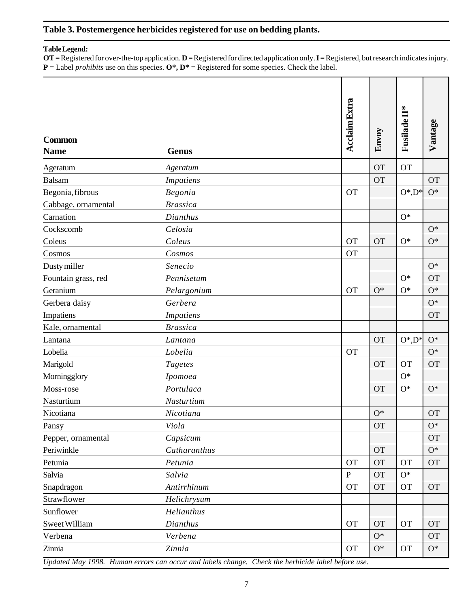# **Table 3. Postemergence herbicides registered for use on bedding plants.**

#### **Table Legend:**

**OT** = Registered for over-the-top application. **D** = Registered for directed application only. **I** = Registered, but research indicates injury.  $P =$  Label *prohibits* use on this species.  $O^*$ ,  $D^* =$  Registered for some species. Check the label.

| <b>Common</b><br><b>Name</b>                                                                      | <b>Genus</b>     | <b>Acclaim Extra</b> | Envoy     | <b>Fusilade II*</b> | Vantage   |  |
|---------------------------------------------------------------------------------------------------|------------------|----------------------|-----------|---------------------|-----------|--|
| Ageratum                                                                                          | Ageratum         |                      | <b>OT</b> | <b>OT</b>           |           |  |
| <b>Balsam</b>                                                                                     | <b>Impatiens</b> |                      | <b>OT</b> |                     | <b>OT</b> |  |
| Begonia, fibrous                                                                                  | Begonia          | <b>OT</b>            |           | $O^*$ , $D^*$       | $O^*$     |  |
| Cabbage, ornamental                                                                               | <b>Brassica</b>  |                      |           |                     |           |  |
| Carnation                                                                                         | Dianthus         |                      |           | $O^*$               |           |  |
| Cockscomb                                                                                         | Celosia          |                      |           |                     | $O^*$     |  |
| Coleus                                                                                            | Coleus           | <b>OT</b>            | <b>OT</b> | $O^*$               | $O^*$     |  |
| Cosmos                                                                                            | Cosmos           | <b>OT</b>            |           |                     |           |  |
| Dusty miller                                                                                      | Senecio          |                      |           |                     | $O^*$     |  |
| Fountain grass, red                                                                               | Pennisetum       |                      |           | $O^*$               | <b>OT</b> |  |
| Geranium                                                                                          | Pelargonium      | <b>OT</b>            | $O^*$     | $O^*$               | $O^*$     |  |
| Gerbera daisy                                                                                     | Gerbera          |                      |           |                     | $O^*$     |  |
| Impatiens                                                                                         | <b>Impatiens</b> |                      |           |                     | <b>OT</b> |  |
| Kale, ornamental                                                                                  | <b>Brassica</b>  |                      |           |                     |           |  |
| Lantana                                                                                           | Lantana          |                      | <b>OT</b> | $O^*$ , $D^*$       | $O^*$     |  |
| Lobelia                                                                                           | Lobelia          | <b>OT</b>            |           |                     | $O^*$     |  |
| Marigold                                                                                          | <b>Tagetes</b>   |                      | <b>OT</b> | <b>OT</b>           | <b>OT</b> |  |
| Morningglory                                                                                      | Ipomoea          |                      |           | $O^*$               |           |  |
| Moss-rose                                                                                         | Portulaca        |                      | <b>OT</b> | $O^*$               | $O^*$     |  |
| Nasturtium                                                                                        | Nasturtium       |                      |           |                     |           |  |
| Nicotiana                                                                                         | Nicotiana        |                      | $O*$      |                     | <b>OT</b> |  |
| Pansy                                                                                             | Viola            |                      | <b>OT</b> |                     | $O^*$     |  |
| Pepper, ornamental                                                                                | Capsicum         |                      |           |                     | <b>OT</b> |  |
| Periwinkle                                                                                        | Catharanthus     |                      | <b>OT</b> |                     | $O^*$     |  |
| Petunia                                                                                           | Petunia          | <b>OT</b>            | <b>OT</b> | <b>OT</b>           | <b>OT</b> |  |
| Salvia                                                                                            | Salvia           | $\mathbf{P}$         | <b>OT</b> | $O^*$               |           |  |
| Snapdragon                                                                                        | Antirrhinum      | <b>OT</b>            | <b>OT</b> | OT                  | <b>OT</b> |  |
| Strawflower                                                                                       | Helichrysum      |                      |           |                     |           |  |
| Sunflower                                                                                         | Helianthus       |                      |           |                     |           |  |
| Sweet William                                                                                     | Dianthus         | <b>OT</b>            | <b>OT</b> | <b>OT</b>           | <b>OT</b> |  |
| Verbena                                                                                           | Verbena          |                      | $O^*$     |                     | <b>OT</b> |  |
| Zinnia                                                                                            | Zinnia           | <b>OT</b>            | $O^*$     | <b>OT</b>           | $O^*$     |  |
| Updated May 1998. Human errors can occur and labels change. Check the herbicide label before use. |                  |                      |           |                     |           |  |